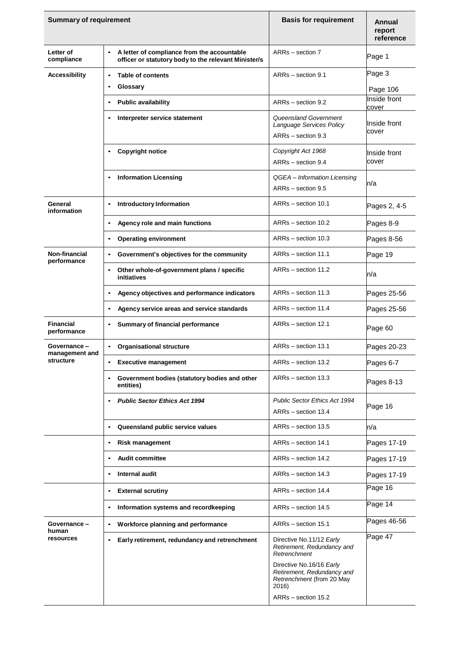| <b>Summary of requirement</b>              |                                                                                                                  | <b>Basis for requirement</b>                                                                                        | Annual<br>report<br>reference |
|--------------------------------------------|------------------------------------------------------------------------------------------------------------------|---------------------------------------------------------------------------------------------------------------------|-------------------------------|
| Letter of<br>compliance                    | A letter of compliance from the accountable<br>$\bullet$<br>officer or statutory body to the relevant Minister/s | ARRs - section 7                                                                                                    | Page 1                        |
| <b>Accessibility</b>                       | <b>Table of contents</b><br>$\bullet$                                                                            | ARRs - section 9.1                                                                                                  | Page 3                        |
|                                            | Glossary                                                                                                         |                                                                                                                     | Page 106                      |
|                                            | <b>Public availability</b>                                                                                       | ARRs - section 9.2                                                                                                  | Inside front<br>cover         |
|                                            | Interpreter service statement                                                                                    | Queensland Government<br>Language Services Policy<br>ARRs - section 9.3                                             | Inside front<br>cover         |
|                                            | <b>Copyright notice</b>                                                                                          | Copyright Act 1968<br>ARRs - section 9.4                                                                            | Inside front<br>cover         |
|                                            | <b>Information Licensing</b><br>$\bullet$                                                                        | QGEA - Information Licensing<br>$ARRs - section 9.5$                                                                | n/a                           |
| General<br>information                     | <b>Introductory Information</b><br>٠                                                                             | ARRs - section 10.1                                                                                                 | Pages 2, 4-5                  |
|                                            | Agency role and main functions                                                                                   | ARRs - section 10.2                                                                                                 | Pages 8-9                     |
|                                            | <b>Operating environment</b><br>$\bullet$                                                                        | ARRs - section 10.3                                                                                                 | Pages 8-56                    |
| Non-financial<br>performance               | Government's objectives for the community                                                                        | ARRs - section 11.1                                                                                                 | Page 19                       |
|                                            | Other whole-of-government plans / specific<br>٠<br>initiatives                                                   | ARRs - section 11.2                                                                                                 | n/a                           |
|                                            | Agency objectives and performance indicators                                                                     | ARRs - section 11.3                                                                                                 | Pages 25-56                   |
|                                            | Agency service areas and service standards                                                                       | ARRs - section 11.4                                                                                                 | Pages 25-56                   |
| <b>Financial</b><br>performance            | Summary of financial performance<br>$\bullet$                                                                    | ARRs - section 12.1                                                                                                 | Page 60                       |
| Governance-<br>management and<br>structure | <b>Organisational structure</b>                                                                                  | ARRs - section 13.1                                                                                                 | Pages 20-23                   |
|                                            | <b>Executive management</b>                                                                                      | ARRs - section 13.2                                                                                                 | Pages 6-7                     |
|                                            | Government bodies (statutory bodies and other<br>entities)                                                       | ARRs - section 13.3                                                                                                 | Pages 8-13                    |
|                                            | <b>Public Sector Ethics Act 1994</b><br>$\bullet$                                                                | Public Sector Ethics Act 1994                                                                                       | Page 16                       |
|                                            |                                                                                                                  | ARRs - section 13.4                                                                                                 |                               |
|                                            | Queensland public service values                                                                                 | ARRs - section 13.5                                                                                                 | n/a                           |
|                                            | <b>Risk management</b><br>$\bullet$                                                                              | ARRs - section 14.1                                                                                                 | Pages 17-19                   |
|                                            | <b>Audit committee</b>                                                                                           | ARRs - section 14.2                                                                                                 | Pages 17-19                   |
|                                            | Internal audit                                                                                                   | ARRs - section 14.3                                                                                                 | Pages 17-19                   |
|                                            | <b>External scrutiny</b><br>$\bullet$                                                                            | ARRs - section 14.4                                                                                                 | Page 16                       |
|                                            | Information systems and recordkeeping<br>٠                                                                       | ARRs - section 14.5                                                                                                 | Page 14                       |
| Governance -<br>human<br>resources         | Workforce planning and performance<br>$\bullet$                                                                  | ARRs - section 15.1                                                                                                 | Pages 46-56                   |
|                                            | Early retirement, redundancy and retrenchment<br>$\bullet$                                                       | Directive No.11/12 Early<br>Retirement, Redundancy and<br>Retrenchment                                              | Page 47                       |
|                                            |                                                                                                                  | Directive No.16/16 Early<br>Retirement, Redundancy and<br>Retrenchment (from 20 May<br>2016)<br>ARRs - section 15.2 |                               |